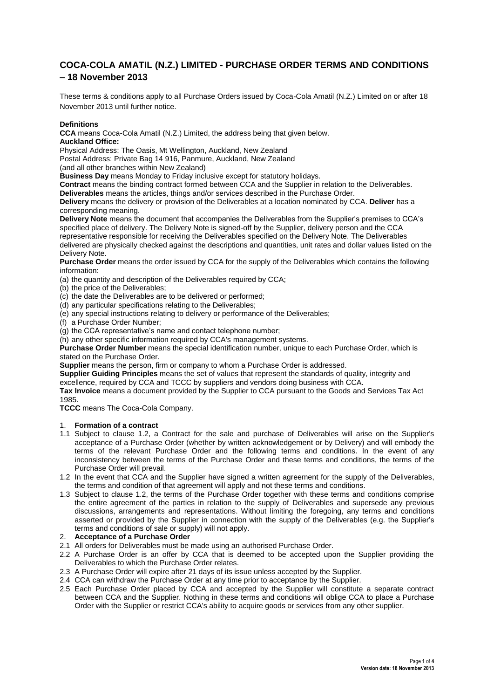# **COCA-COLA AMATIL (N.Z.) LIMITED - PURCHASE ORDER TERMS AND CONDITIONS – 18 November 2013**

These terms & conditions apply to all Purchase Orders issued by Coca-Cola Amatil (N.Z.) Limited on or after 18 November 2013 until further notice.

### **Definitions**

**CCA** means Coca-Cola Amatil (N.Z.) Limited, the address being that given below. **Auckland Office:**

Physical Address: The Oasis, Mt Wellington, Auckland, New Zealand

Postal Address: Private Bag 14 916, Panmure, Auckland, New Zealand

(and all other branches within New Zealand)

**Business Day** means Monday to Friday inclusive except for statutory holidays.

**Contract** means the binding contract formed between CCA and the Supplier in relation to the Deliverables.

**Deliverables** means the articles, things and/or services described in the Purchase Order.

**Delivery** means the delivery or provision of the Deliverables at a location nominated by CCA. **Deliver** has a corresponding meaning.

**Delivery Note** means the document that accompanies the Deliverables from the Supplier's premises to CCA's specified place of delivery. The Delivery Note is signed-off by the Supplier, delivery person and the CCA representative responsible for receiving the Deliverables specified on the Delivery Note. The Deliverables delivered are physically checked against the descriptions and quantities, unit rates and dollar values listed on the Delivery Note.

**Purchase Order** means the order issued by CCA for the supply of the Deliverables which contains the following information:

(a) the quantity and description of the Deliverables required by CCA;

(b) the price of the Deliverables;

(c) the date the Deliverables are to be delivered or performed;

- (d) any particular specifications relating to the Deliverables;
- (e) any special instructions relating to delivery or performance of the Deliverables;
- (f) a Purchase Order Number;

(g) the CCA representative's name and contact telephone number;

(h) any other specific information required by CCA's management systems.

**Purchase Order Number** means the special identification number, unique to each Purchase Order, which is stated on the Purchase Order.

**Supplier** means the person, firm or company to whom a Purchase Order is addressed.

**Supplier Guiding Principles** means the set of values that represent the standards of quality, integrity and excellence, required by CCA and TCCC by suppliers and vendors doing business with CCA.

**Tax Invoice** means a document provided by the Supplier to CCA pursuant to the Goods and Services Tax Act 1985.

**TCCC** means The Coca-Cola Company.

### 1. **Formation of a contract**

- 1.1 Subject to clause 1.2, a Contract for the sale and purchase of Deliverables will arise on the Supplier's acceptance of a Purchase Order (whether by written acknowledgement or by Delivery) and will embody the terms of the relevant Purchase Order and the following terms and conditions. In the event of any inconsistency between the terms of the Purchase Order and these terms and conditions, the terms of the Purchase Order will prevail.
- 1.2 In the event that CCA and the Supplier have signed a written agreement for the supply of the Deliverables, the terms and condition of that agreement will apply and not these terms and conditions.
- 1.3 Subject to clause 1.2, the terms of the Purchase Order together with these terms and conditions comprise the entire agreement of the parties in relation to the supply of Deliverables and supersede any previous discussions, arrangements and representations. Without limiting the foregoing, any terms and conditions asserted or provided by the Supplier in connection with the supply of the Deliverables (e.g. the Supplier's terms and conditions of sale or supply) will not apply.

### 2. **Acceptance of a Purchase Order**

- 2.1 All orders for Deliverables must be made using an authorised Purchase Order.
- 2.2 A Purchase Order is an offer by CCA that is deemed to be accepted upon the Supplier providing the Deliverables to which the Purchase Order relates.
- 2.3 A Purchase Order will expire after 21 days of its issue unless accepted by the Supplier.
- 2.4 CCA can withdraw the Purchase Order at any time prior to acceptance by the Supplier.
- 2.5 Each Purchase Order placed by CCA and accepted by the Supplier will constitute a separate contract between CCA and the Supplier. Nothing in these terms and conditions will oblige CCA to place a Purchase Order with the Supplier or restrict CCA's ability to acquire goods or services from any other supplier.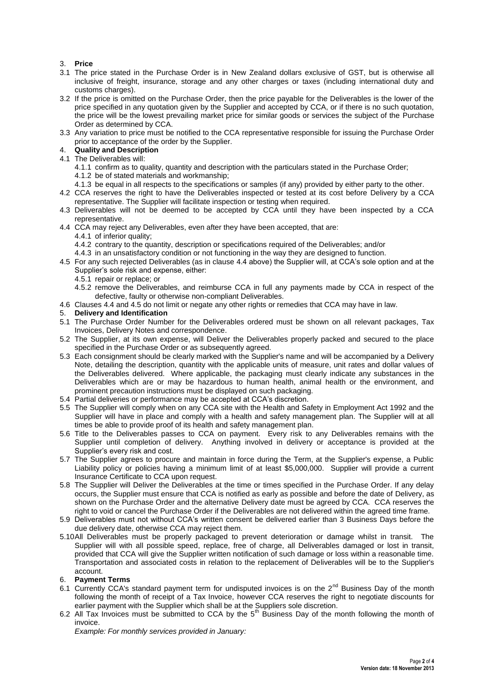### 3. **Price**

- 3.1 The price stated in the Purchase Order is in New Zealand dollars exclusive of GST, but is otherwise all inclusive of freight, insurance, storage and any other charges or taxes (including international duty and customs charges).
- 3.2 If the price is omitted on the Purchase Order, then the price payable for the Deliverables is the lower of the price specified in any quotation given by the Supplier and accepted by CCA, or if there is no such quotation, the price will be the lowest prevailing market price for similar goods or services the subject of the Purchase Order as determined by CCA.
- 3.3 Any variation to price must be notified to the CCA representative responsible for issuing the Purchase Order prior to acceptance of the order by the Supplier.
- 4. **Quality and Description**
- 4.1 The Deliverables will:
	- 4.1.1 confirm as to quality, quantity and description with the particulars stated in the Purchase Order;
	- 4.1.2 be of stated materials and workmanship;
	- 4.1.3 be equal in all respects to the specifications or samples (if any) provided by either party to the other.
- 4.2 CCA reserves the right to have the Deliverables inspected or tested at its cost before Delivery by a CCA representative. The Supplier will facilitate inspection or testing when required.
- 4.3 Deliverables will not be deemed to be accepted by CCA until they have been inspected by a CCA representative.
- 4.4 CCA may reject any Deliverables, even after they have been accepted, that are:
	- 4.4.1 of inferior quality;
	- 4.4.2 contrary to the quantity, description or specifications required of the Deliverables; and/or
	- 4.4.3 in an unsatisfactory condition or not functioning in the way they are designed to function.
- 4.5 For any such rejected Deliverables (as in clause 4.4 above) the Supplier will, at CCA's sole option and at the Supplier's sole risk and expense, either:
	- 4.5.1 repair or replace; or
	- 4.5.2 remove the Deliverables, and reimburse CCA in full any payments made by CCA in respect of the defective, faulty or otherwise non-compliant Deliverables.
- 4.6 Clauses 4.4 and 4.5 do not limit or negate any other rights or remedies that CCA may have in law.
- 5. **Delivery and Identification**
- 5.1 The Purchase Order Number for the Deliverables ordered must be shown on all relevant packages, Tax Invoices, Delivery Notes and correspondence.
- 5.2 The Supplier, at its own expense, will Deliver the Deliverables properly packed and secured to the place specified in the Purchase Order or as subsequently agreed.
- 5.3 Each consignment should be clearly marked with the Supplier's name and will be accompanied by a Delivery Note, detailing the description, quantity with the applicable units of measure, unit rates and dollar values of the Deliverables delivered. Where applicable, the packaging must clearly indicate any substances in the Deliverables which are or may be hazardous to human health, animal health or the environment, and prominent precaution instructions must be displayed on such packaging.
- 5.4 Partial deliveries or performance may be accepted at CCA's discretion.
- 5.5 The Supplier will comply when on any CCA site with the Health and Safety in Employment Act 1992 and the Supplier will have in place and comply with a health and safety management plan. The Supplier will at all times be able to provide proof of its health and safety management plan.
- 5.6 Title to the Deliverables passes to CCA on payment. Every risk to any Deliverables remains with the Supplier until completion of delivery. Anything involved in delivery or acceptance is provided at the Supplier's every risk and cost.
- 5.7 The Supplier agrees to procure and maintain in force during the Term, at the Supplier's expense, a Public Liability policy or policies having a minimum limit of at least \$5,000,000. Supplier will provide a current Insurance Certificate to CCA upon request.
- 5.8 The Supplier will Deliver the Deliverables at the time or times specified in the Purchase Order. If any delay occurs, the Supplier must ensure that CCA is notified as early as possible and before the date of Delivery, as shown on the Purchase Order and the alternative Delivery date must be agreed by CCA. CCA reserves the right to void or cancel the Purchase Order if the Deliverables are not delivered within the agreed time frame.
- 5.9 Deliverables must not without CCA's written consent be delivered earlier than 3 Business Days before the due delivery date, otherwise CCA may reject them.
- 5.10All Deliverables must be properly packaged to prevent deterioration or damage whilst in transit. The Supplier will with all possible speed, replace, free of charge, all Deliverables damaged or lost in transit, provided that CCA will give the Supplier written notification of such damage or loss within a reasonable time. Transportation and associated costs in relation to the replacement of Deliverables will be to the Supplier's account.

#### 6. **Payment Terms**

- 6.1 Currently CCA's standard payment term for undisputed invoices is on the 2<sup>nd</sup> Business Day of the month following the month of receipt of a Tax Invoice, however CCA reserves the right to negotiate discounts for earlier payment with the Supplier which shall be at the Suppliers sole discretion.
- 6.2 All Tax Invoices must be submitted to CCA by the 5<sup>th</sup> Business Day of the month following the month of invoice.

*Example: For monthly services provided in January:*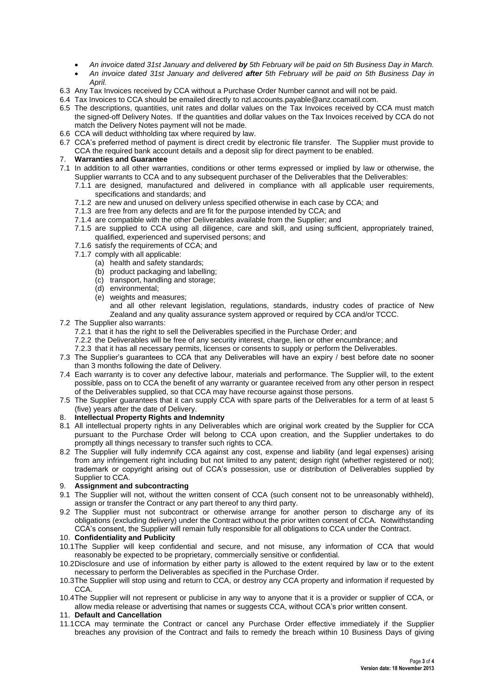- *An invoice dated 31st January and delivered by 5th February will be paid on 5th Business Day in March.*
- *An invoice dated 31st January and delivered after 5th February will be paid on 5th Business Day in April.*
- 6.3 Any Tax Invoices received by CCA without a Purchase Order Number cannot and will not be paid.
- 6.4 Tax Invoices to CCA should be emailed directly to nzl.accounts.payable@anz.ccamatil.com.
- 6.5 The descriptions, quantities, unit rates and dollar values on the Tax Invoices received by CCA must match the signed-off Delivery Notes. If the quantities and dollar values on the Tax Invoices received by CCA do not match the Delivery Notes payment will not be made.
- 6.6 CCA will deduct withholding tax where required by law.
- 6.7 CCA's preferred method of payment is direct credit by electronic file transfer. The Supplier must provide to CCA the required bank account details and a deposit slip for direct payment to be enabled.

# 7. **Warranties and Guarantee**

- 7.1 In addition to all other warranties, conditions or other terms expressed or implied by law or otherwise, the Supplier warrants to CCA and to any subsequent purchaser of the Deliverables that the Deliverables:
	- 7.1.1 are designed, manufactured and delivered in compliance with all applicable user requirements, specifications and standards; and
	- 7.1.2 are new and unused on delivery unless specified otherwise in each case by CCA; and
	- 7.1.3 are free from any defects and are fit for the purpose intended by CCA; and
	- 7.1.4 are compatible with the other Deliverables available from the Supplier; and
	- 7.1.5 are supplied to CCA using all diligence, care and skill, and using sufficient, appropriately trained, qualified, experienced and supervised persons; and
	- 7.1.6 satisfy the requirements of CCA; and
	- 7.1.7 comply with all applicable:
		- (a) health and safety standards;
		- (b) product packaging and labelling;
		- (c) transport, handling and storage:
		- (d) environmental;
		- (e) weights and measures;

and all other relevant legislation, regulations, standards, industry codes of practice of New Zealand and any quality assurance system approved or required by CCA and/or TCCC.

- 7.2 The Supplier also warrants:
	- 7.2.1 that it has the right to sell the Deliverables specified in the Purchase Order; and
	- 7.2.2 the Deliverables will be free of any security interest, charge, lien or other encumbrance; and
	- 7.2.3 that it has all necessary permits, licenses or consents to supply or perform the Deliverables.
- 7.3 The Supplier's guarantees to CCA that any Deliverables will have an expiry / best before date no sooner than 3 months following the date of Delivery.
- 7.4 Each warranty is to cover any defective labour, materials and performance. The Supplier will, to the extent possible, pass on to CCA the benefit of any warranty or guarantee received from any other person in respect of the Deliverables supplied, so that CCA may have recourse against those persons.
- 7.5 The Supplier guarantees that it can supply CCA with spare parts of the Deliverables for a term of at least 5 (five) years after the date of Delivery.
- 8. **Intellectual Property Rights and Indemnity**
- 8.1 All intellectual property rights in any Deliverables which are original work created by the Supplier for CCA pursuant to the Purchase Order will belong to CCA upon creation, and the Supplier undertakes to do promptly all things necessary to transfer such rights to CCA.
- 8.2 The Supplier will fully indemnify CCA against any cost, expense and liability (and legal expenses) arising from any infringement right including but not limited to any patent; design right (whether registered or not); trademark or copyright arising out of CCA's possession, use or distribution of Deliverables supplied by Supplier to CCA.

### 9. **Assignment and subcontracting**

- 9.1 The Supplier will not, without the written consent of CCA (such consent not to be unreasonably withheld), assign or transfer the Contract or any part thereof to any third party.
- 9.2 The Supplier must not subcontract or otherwise arrange for another person to discharge any of its obligations (excluding delivery) under the Contract without the prior written consent of CCA. Notwithstanding CCA's consent, the Supplier will remain fully responsible for all obligations to CCA under the Contract.

#### 10. **Confidentiality and Publicity**

- 10.1The Supplier will keep confidential and secure, and not misuse, any information of CCA that would reasonably be expected to be proprietary, commercially sensitive or confidential.
- 10.2Disclosure and use of information by either party is allowed to the extent required by law or to the extent necessary to perform the Deliverables as specified in the Purchase Order.
- 10.3The Supplier will stop using and return to CCA, or destroy any CCA property and information if requested by CCA.
- 10.4The Supplier will not represent or publicise in any way to anyone that it is a provider or supplier of CCA, or allow media release or advertising that names or suggests CCA, without CCA's prior written consent.

### 11. **Default and Cancellation**

11.1CCA may terminate the Contract or cancel any Purchase Order effective immediately if the Supplier breaches any provision of the Contract and fails to remedy the breach within 10 Business Days of giving